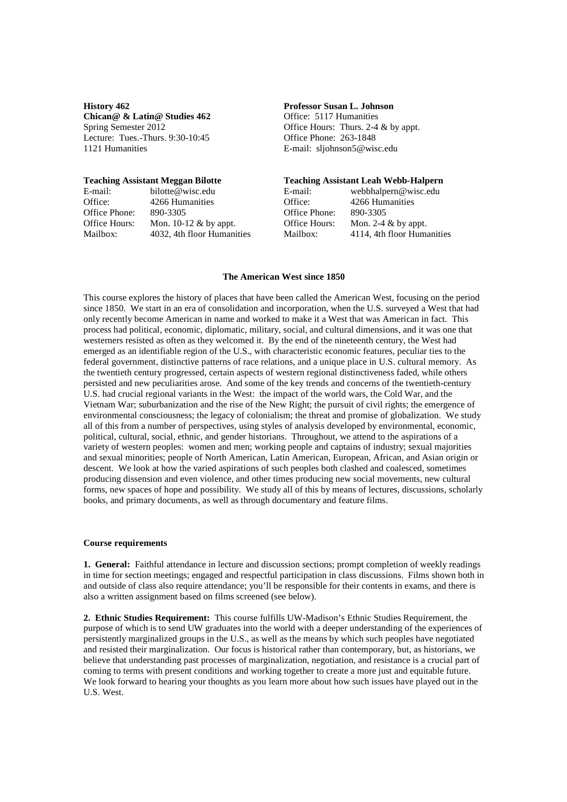**History 462 Professor Susan L. Johnson Chican@ & Latin@ Studies 462** Office: 5117 Humanities Lecture: Tues.-Thurs.  $9:30-10:45$ 1121 Humanities E-mail: sljohnson5@wisc.edu

E-mail: bilotte@wisc.edu E-mail: bilotte@wisc.edu E-mail: entries<br>Office: 4266 Humanities C Office: 4266 Humanities Office: 4266 Humanities Office Phone: 890-3305 Office Phone: 890-3305 Office Hours: Mon.  $10-12 \&$  by appt. Mailbox: 4032, 4th floor Humanities M

Spring Semester 2012 <br>
Centure: Tues.-Thurs. 9:30-10:45 <br>
Office Phone: 263-1848 <br>
Office Phone: 263-1848

### **Teaching Assistant Meggan Bilotte****Teaching Assistant Leah Webb-Halpern**

| E-mail:              | webbhalpern@wisc.edu       |
|----------------------|----------------------------|
| )ffice:              | 4266 Humanities            |
| Office Phone:        | 890-3305                   |
| <b>Office Hours:</b> | Mon. 2-4 $\&$ by appt.     |
| Mailbox:             | 4114, 4th floor Humanities |
|                      |                            |

## **The American West since 1850**

This course explores the history of places that have been called the American West, focusing on the period since 1850. We start in an era of consolidation and incorporation, when the U.S. surveyed a West that had only recently become American in name and worked to make it a West that was American in fact. This process had political, economic, diplomatic, military, social, and cultural dimensions, and it was one that westerners resisted as often as they welcomed it. By the end of the nineteenth century, the West had emerged as an identifiable region of the U.S., with characteristic economic features, peculiar ties to the federal government, distinctive patterns of race relations, and a unique place in U.S. cultural memory. As the twentieth century progressed, certain aspects of western regional distinctiveness faded, while others persisted and new peculiarities arose. And some of the key trends and concerns of the twentieth-century U.S. had crucial regional variants in the West: the impact of the world wars, the Cold War, and the Vietnam War; suburbanization and the rise of the New Right; the pursuit of civil rights; the emergence of environmental consciousness; the legacy of colonialism; the threat and promise of globalization. We study all of this from a number of perspectives, using styles of analysis developed by environmental, economic, political, cultural, social, ethnic, and gender historians. Throughout, we attend to the aspirations of a variety of western peoples: women and men; working people and captains of industry; sexual majorities and sexual minorities; people of North American, Latin American, European, African, and Asian origin or descent. We look at how the varied aspirations of such peoples both clashed and coalesced, sometimes producing dissension and even violence, and other times producing new social movements, new cultural forms, new spaces of hope and possibility. We study all of this by means of lectures, discussions, scholarly books, and primary documents, as well as through documentary and feature films.

### **Course requirements**

**1. General:** Faithful attendance in lecture and discussion sections; prompt completion of weekly readings in time for section meetings; engaged and respectful participation in class discussions. Films shown both in and outside of class also require attendance; you'll be responsible for their contents in exams, and there is also a written assignment based on films screened (see below).

**2. Ethnic Studies Requirement:** This course fulfills UW-Madison's Ethnic Studies Requirement, the purpose of which is to send UW graduates into the world with a deeper understanding of the experiences of persistently marginalized groups in the U.S., as well as the means by which such peoples have negotiated and resisted their marginalization. Our focus is historical rather than contemporary, but, as historians, we believe that understanding past processes of marginalization, negotiation, and resistance is a crucial part of coming to terms with present conditions and working together to create a more just and equitable future. We look forward to hearing your thoughts as you learn more about how such issues have played out in the U.S. West.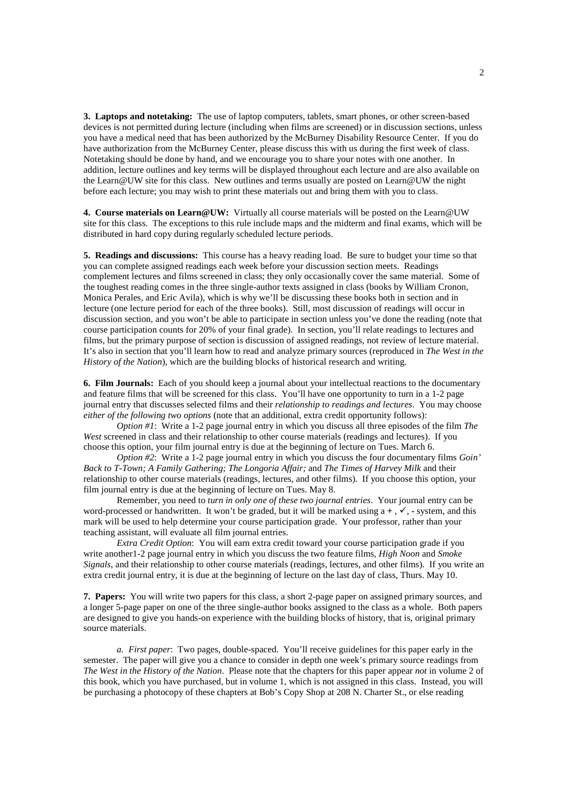**3. Laptops and notetaking:** The use of laptop computers, tablets, smart phones, or other screen-based devices is not permitted during lecture (including when films are screened) or in discussion sections, unless you have a medical need that has been authorized by the McBurney Disability Resource Center. If you do have authorization from the McBurney Center, please discuss this with us during the first week of class. Notetaking should be done by hand, and we encourage you to share your notes with one another. In addition, lecture outlines and key terms will be displayed throughout each lecture and are also available on the Learn@UW site for this class. New outlines and terms usually are posted on Learn@UW the night before each lecture; you may wish to print these materials out and bring them with you to class.

**4. Course materials on Learn@UW:** Virtually all course materials will be posted on the Learn@UW site for this class. The exceptions to this rule include maps and the midterm and final exams, which will be distributed in hard copy during regularly scheduled lecture periods.

**5. Readings and discussions:** This course has a heavy reading load. Be sure to budget your time so that you can complete assigned readings each week before your discussion section meets. Readings complement lectures and films screened in class; they only occasionally cover the same material. Some of the toughest reading comes in the three single-author texts assigned in class (books by William Cronon, Monica Perales, and Eric Avila), which is why we'll be discussing these books both in section and in lecture (one lecture period for each of the three books). Still, most discussion of readings will occur in discussion section, and you won't be able to participate in section unless you've done the reading (note that course participation counts for 20% of your final grade). In section, you'll relate readings to lectures and films, but the primary purpose of section is discussion of assigned readings, not review of lecture material. It's also in section that you'll learn how to read and analyze primary sources (reproduced in *The West in the History of the Nation*), which are the building blocks of historical research and writing.

**6. Film Journals:** Each of you should keep a journal about your intellectual reactions to the documentary and feature films that will be screened for this class. You'll have one opportunity to turn in a 1-2 page journal entry that discusses selected films and their *relationship to readings and lectures*. You may choose *either of the following two options* (note that an additional, extra credit opportunity follows):

*Option #1*: Write a 1-2 page journal entry in which you discuss all three episodes of the film *The West* screened in class and their relationship to other course materials (readings and lectures). If you choose this option, your film journal entry is due at the beginning of lecture on Tues. March 6.

*Option #2*: Write a 1-2 page journal entry in which you discuss the four documentary films *Goin' Back to T-Town; A Family Gathering; The Longoria Affair;* and *The Times of Harvey Milk* and their relationship to other course materials (readings, lectures, and other films). If you choose this option, your film journal entry is due at the beginning of lecture on Tues. May 8.

Remember, you need to *turn in only one of these two journal entries*. Your journal entry can be word-processed or handwritten. It won't be graded, but it will be marked using  $a +$ ,  $\checkmark$ , - system, and this mark will be used to help determine your course participation grade. Your professor, rather than your teaching assistant, will evaluate all film journal entries.

*Extra Credit Option*: You will earn extra credit toward your course participation grade if you write another1-2 page journal entry in which you discuss the two feature films, *High Noon* and *Smoke Signals*, and their relationship to other course materials (readings, lectures, and other films). If you write an extra credit journal entry, it is due at the beginning of lecture on the last day of class, Thurs. May 10.

**7. Papers:** You will write two papers for this class, a short 2-page paper on assigned primary sources, and a longer 5-page paper on one of the three single-author books assigned to the class as a whole. Both papers are designed to give you hands-on experience with the building blocks of history, that is, original primary source materials.

*a. First paper*: Two pages, double-spaced. You'll receive guidelines for this paper early in the semester. The paper will give you a chance to consider in depth one week's primary source readings from *The West in the History of the Nation*. Please note that the chapters for this paper appear *not* in volume 2 of this book, which you have purchased, but in volume 1, which is not assigned in this class. Instead, you will be purchasing a photocopy of these chapters at Bob's Copy Shop at 208 N. Charter St., or else reading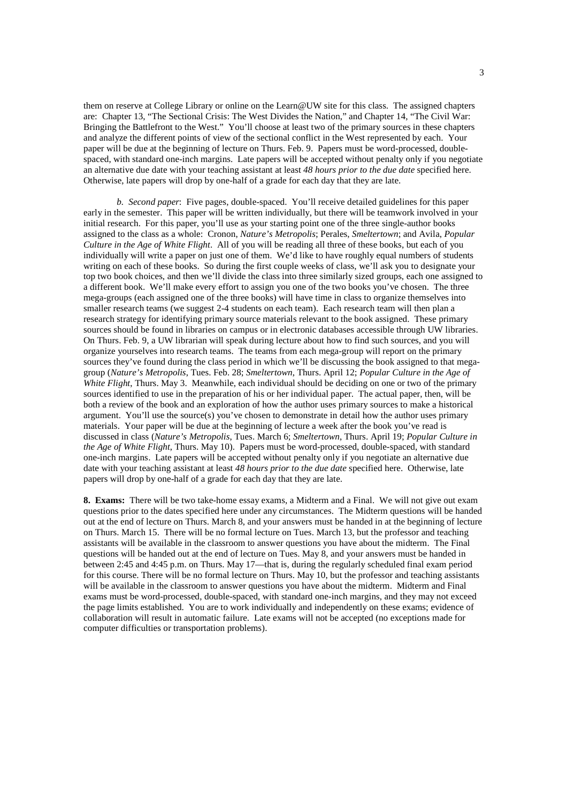them on reserve at College Library or online on the Learn@UW site for this class. The assigned chapters are: Chapter 13, "The Sectional Crisis: The West Divides the Nation," and Chapter 14, "The Civil War: Bringing the Battlefront to the West." You'll choose at least two of the primary sources in these chapters and analyze the different points of view of the sectional conflict in the West represented by each. Your paper will be due at the beginning of lecture on Thurs. Feb. 9.Papers must be word-processed, doublespaced, with standard one-inch margins. Late papers will be accepted without penalty only if you negotiate an alternative due date with your teaching assistant at least *48 hours prior to the due date* specified here. Otherwise, late papers will drop by one-half of a grade for each day that they are late.

*b. Second paper*: Five pages, double-spaced. You'll receive detailed guidelines for this paper early in the semester. This paper will be written individually, but there will be teamwork involved in your initial research. For this paper, you'll use as your starting point one of the three single-author books assigned to the class as a whole: Cronon, *Nature's Metropolis*; Perales, *Smeltertown*; and Avila, *Popular Culture in the Age of White Flight*. All of you will be reading all three of these books, but each of you individually will write a paper on just one of them. We'd like to have roughly equal numbers of students writing on each of these books. So during the first couple weeks of class, we'll ask you to designate your top two book choices, and then we'll divide the class into three similarly sized groups, each one assigned to a different book. We'll make every effort to assign you one of the two books you've chosen. The three mega-groups (each assigned one of the three books) will have time in class to organize themselves into smaller research teams (we suggest 2-4 students on each team). Each research team will then plan a research strategy for identifying primary source materials relevant to the book assigned. These primary sources should be found in libraries on campus or in electronic databases accessible through UW libraries. On Thurs. Feb. 9, a UW librarian will speak during lecture about how to find such sources, and you will organize yourselves into research teams. The teams from each mega-group will report on the primary sources they've found during the class period in which we'll be discussing the book assigned to that megagroup (*Nature's Metropolis*, Tues. Feb. 28; *Smeltertown*, Thurs. April 12; *Popular Culture in the Age of White Flight*, Thurs. May 3. Meanwhile, each individual should be deciding on one or two of the primary sources identified to use in the preparation of his or her individual paper. The actual paper, then, will be both a review of the book and an exploration of how the author uses primary sources to make a historical argument. You'll use the source(s) you've chosen to demonstrate in detail how the author uses primary materials. Your paper will be due at the beginning of lecture a week after the book you've read is discussed in class (*Nature's Metropolis*, Tues. March 6; *Smeltertown*, Thurs. April 19; *Popular Culture in the Age of White Flight*, Thurs. May 10). Papers must be word-processed, double-spaced, with standard one-inch margins. Late papers will be accepted without penalty only if you negotiate an alternative due date with your teaching assistant at least *48 hours prior to the due date* specified here. Otherwise, late papers will drop by one-half of a grade for each day that they are late.

**8. Exams:** There will be two take-home essay exams, a Midterm and a Final. We will not give out exam questions prior to the dates specified here under any circumstances. The Midterm questions will be handed out at the end of lecture on Thurs. March 8, and your answers must be handed in at the beginning of lecture on Thurs. March 15. There will be no formal lecture on Tues. March 13, but the professor and teaching assistants will be available in the classroom to answer questions you have about the midterm. The Final questions will be handed out at the end of lecture on Tues. May 8, and your answers must be handed in between 2:45 and 4:45 p.m. on Thurs. May 17—that is, during the regularly scheduled final exam period for this course. There will be no formal lecture on Thurs. May 10, but the professor and teaching assistants will be available in the classroom to answer questions you have about the midterm. Midterm and Final exams must be word-processed, double-spaced, with standard one-inch margins, and they may not exceed the page limits established. You are to work individually and independently on these exams; evidence of collaboration will result in automatic failure. Late exams will not be accepted (no exceptions made for computer difficulties or transportation problems).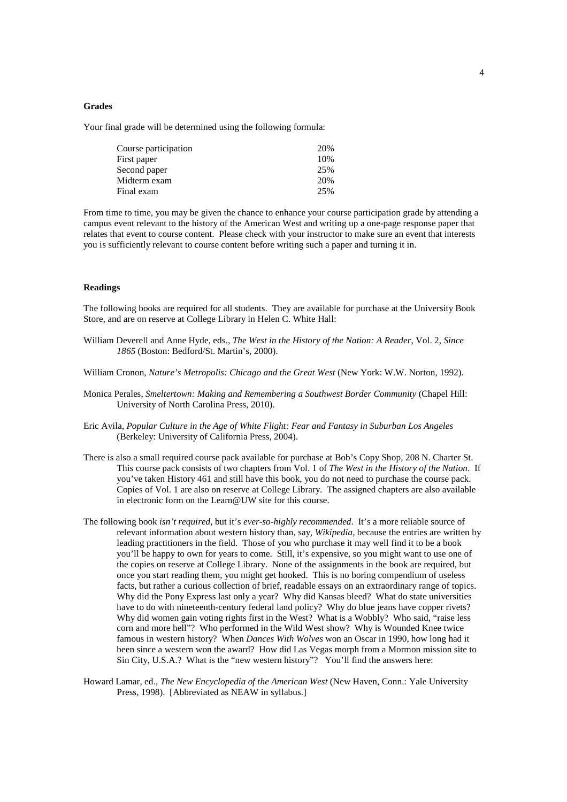## **Grades**

Your final grade will be determined using the following formula:

| Course participation | 20% |
|----------------------|-----|
| First paper          | 10% |
| Second paper         | 25% |
| Midterm exam         | 20% |
| Final exam           | 25% |

From time to time, you may be given the chance to enhance your course participation grade by attending a campus event relevant to the history of the American West and writing up a one-page response paper that relates that event to course content. Please check with your instructor to make sure an event that interests you is sufficiently relevant to course content before writing such a paper and turning it in.

# **Readings**

The following books are required for all students. They are available for purchase at the University Book Store, and are on reserve at College Library in Helen C. White Hall:

- William Deverell and Anne Hyde, eds., *The West in the History of the Nation: A Reader*, Vol. 2, *Since 1865* (Boston: Bedford/St. Martin's, 2000).
- William Cronon, *Nature's Metropolis: Chicago and the Great West* (New York: W.W. Norton, 1992).
- Monica Perales, *Smeltertown: Making and Remembering a Southwest Border Community* (Chapel Hill: University of North Carolina Press, 2010).
- Eric Avila, *Popular Culture in the Age of White Flight: Fear and Fantasy in Suburban Los Angeles* (Berkeley: University of California Press, 2004).
- There is also a small required course pack available for purchase at Bob's Copy Shop, 208 N. Charter St. This course pack consists of two chapters from Vol. 1 of *The West in the History of the Nation*. If you've taken History 461 and still have this book, you do not need to purchase the course pack. Copies of Vol. 1 are also on reserve at College Library. The assigned chapters are also available in electronic form on the Learn@UW site for this course.
- The following book *isn't required*, but it's *ever-so-highly recommended*. It's a more reliable source of relevant information about western history than, say, *Wikipedia*, because the entries are written by leading practitioners in the field. Those of you who purchase it may well find it to be a book you'll be happy to own for years to come. Still, it's expensive, so you might want to use one of the copies on reserve at College Library. None of the assignments in the book are required, but once you start reading them, you might get hooked. This is no boring compendium of useless facts, but rather a curious collection of brief, readable essays on an extraordinary range of topics. Why did the Pony Express last only a year? Why did Kansas bleed? What do state universities have to do with nineteenth-century federal land policy? Why do blue jeans have copper rivets? Why did women gain voting rights first in the West? What is a Wobbly? Who said, "raise less corn and more hell"? Who performed in the Wild West show? Why is Wounded Knee twice famous in western history? When *Dances With Wolves* won an Oscar in 1990, how long had it been since a western won the award? How did Las Vegas morph from a Mormon mission site to Sin City, U.S.A.? What is the "new western history"? You'll find the answers here:
- Howard Lamar, ed., *The New Encyclopedia of the American West* (New Haven, Conn.: Yale University Press, 1998). [Abbreviated as NEAW in syllabus.]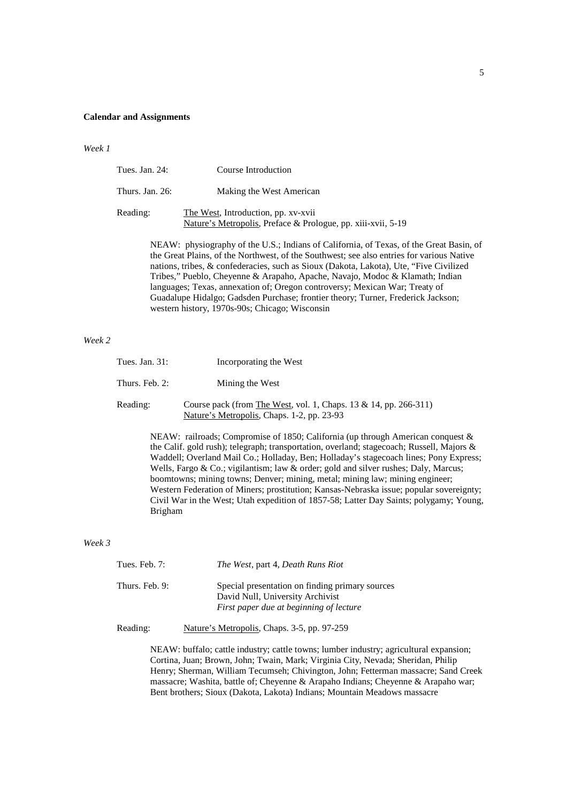#### **Calendar and Assignments**

*Week 1*

| Tues. Jan. $24$ : | Course Introduction                                                                                 |
|-------------------|-----------------------------------------------------------------------------------------------------|
| Thurs. Jan. 26:   | Making the West American                                                                            |
| Reading:          | The West, Introduction, pp. xv-xvii<br>Nature's Metropolis, Preface & Prologue, pp. xiii-xvii, 5-19 |

NEAW: physiography of the U.S.; Indians of California, of Texas, of the Great Basin, of the Great Plains, of the Northwest, of the Southwest; see also entries for various Native nations, tribes, & confederacies, such as Sioux (Dakota, Lakota), Ute, "Five Civilized Tribes," Pueblo, Cheyenne & Arapaho, Apache, Navajo, Modoc & Klamath; Indian languages; Texas, annexation of; Oregon controversy; Mexican War; Treaty of Guadalupe Hidalgo; Gadsden Purchase; frontier theory; Turner, Frederick Jackson; western history, 1970s-90s; Chicago; Wisconsin

# *Week 2*

| Tues. Jan. 31: | Incorporating the West                                                                                         |
|----------------|----------------------------------------------------------------------------------------------------------------|
| Thurs. Feb. 2: | Mining the West                                                                                                |
| Reading:       | Course pack (from The West, vol. 1, Chaps. 13 & 14, pp. 266-311)<br>Nature's Metropolis, Chaps. 1-2, pp. 23-93 |

NEAW: railroads; Compromise of 1850; California (up through American conquest & the Calif. gold rush); telegraph; transportation, overland; stagecoach; Russell, Majors & Waddell; Overland Mail Co.; Holladay, Ben; Holladay's stagecoach lines; Pony Express; Wells, Fargo & Co.; vigilantism; law & order; gold and silver rushes; Daly, Marcus; boomtowns; mining towns; Denver; mining, metal; mining law; mining engineer; Western Federation of Miners; prostitution; Kansas-Nebraska issue; popular sovereignty; Civil War in the West; Utah expedition of 1857-58; Latter Day Saints; polygamy; Young, Brigham

## *Week 3*

| Tues. Feb. $7:$ | <i>The West, part 4, Death Runs Riot</i>                                                                                       |
|-----------------|--------------------------------------------------------------------------------------------------------------------------------|
| Thurs. Feb. 9:  | Special presentation on finding primary sources<br>David Null, University Archivist<br>First paper due at beginning of lecture |

Reading: Nature's Metropolis, Chaps. 3-5, pp. 97-259

NEAW: buffalo; cattle industry; cattle towns; lumber industry; agricultural expansion; Cortina, Juan; Brown, John; Twain, Mark; Virginia City, Nevada; Sheridan, Philip Henry; Sherman, William Tecumseh; Chivington, John; Fetterman massacre; Sand Creek massacre; Washita, battle of; Cheyenne & Arapaho Indians; Cheyenne & Arapaho war; Bent brothers; Sioux (Dakota, Lakota) Indians; Mountain Meadows massacre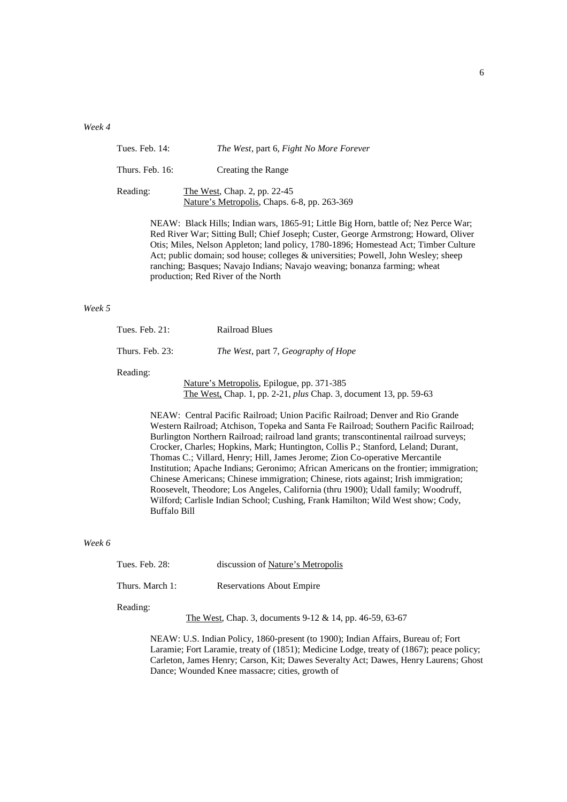## *Week 4*

| Tues. Feb. 14:  | The West, part 6, Fight No More Forever                                      |
|-----------------|------------------------------------------------------------------------------|
| Thurs. Feb. 16: | Creating the Range                                                           |
| Reading:        | The West, Chap. 2, pp. 22-45<br>Nature's Metropolis, Chaps. 6-8, pp. 263-369 |

NEAW: Black Hills; Indian wars, 1865-91; Little Big Horn, battle of; Nez Perce War; Red River War; Sitting Bull; Chief Joseph; Custer, George Armstrong; Howard, Oliver Otis; Miles, Nelson Appleton; land policy, 1780-1896; Homestead Act; Timber Culture Act; public domain; sod house; colleges & universities; Powell, John Wesley; sheep ranching; Basques; Navajo Indians; Navajo weaving; bonanza farming; wheat production; Red River of the North

# *Week 5*

| Tues. Feb. 21:  | <b>Railroad Blues</b>                      |
|-----------------|--------------------------------------------|
| Thurs. Feb. 23: | The West, part 7, Geography of Hope        |
| Reading:        | Nature's Metropolis, Epilogue, pp. 371-385 |

The West, Chap. 1, pp. 2-21, *plus* Chap. 3, document 13, pp. 59-63

NEAW: Central Pacific Railroad; Union Pacific Railroad; Denver and Rio Grande Western Railroad; Atchison, Topeka and Santa Fe Railroad; Southern Pacific Railroad; Burlington Northern Railroad; railroad land grants; transcontinental railroad surveys; Crocker, Charles; Hopkins, Mark; Huntington, Collis P.; Stanford, Leland; Durant, Thomas C.; Villard, Henry; Hill, James Jerome; Zion Co-operative Mercantile Institution; Apache Indians; Geronimo; African Americans on the frontier; immigration; Chinese Americans; Chinese immigration; Chinese, riots against; Irish immigration; Roosevelt, Theodore; Los Angeles, California (thru 1900); Udall family; Woodruff, Wilford; Carlisle Indian School; Cushing, Frank Hamilton; Wild West show; Cody, Buffalo Bill

## *Week 6*

|  | Tues. Feb. $28$ : | discussion of Nature's Metropolis |
|--|-------------------|-----------------------------------|
|--|-------------------|-----------------------------------|

Thurs. March 1: Reservations About Empire

#### Reading:

The West, Chap. 3, documents 9-12 & 14, pp. 46-59, 63-67

NEAW: U.S. Indian Policy, 1860-present (to 1900); Indian Affairs, Bureau of; Fort Laramie; Fort Laramie, treaty of (1851); Medicine Lodge, treaty of (1867); peace policy; Carleton, James Henry; Carson, Kit; Dawes Severalty Act; Dawes, Henry Laurens; Ghost Dance; Wounded Knee massacre; cities, growth of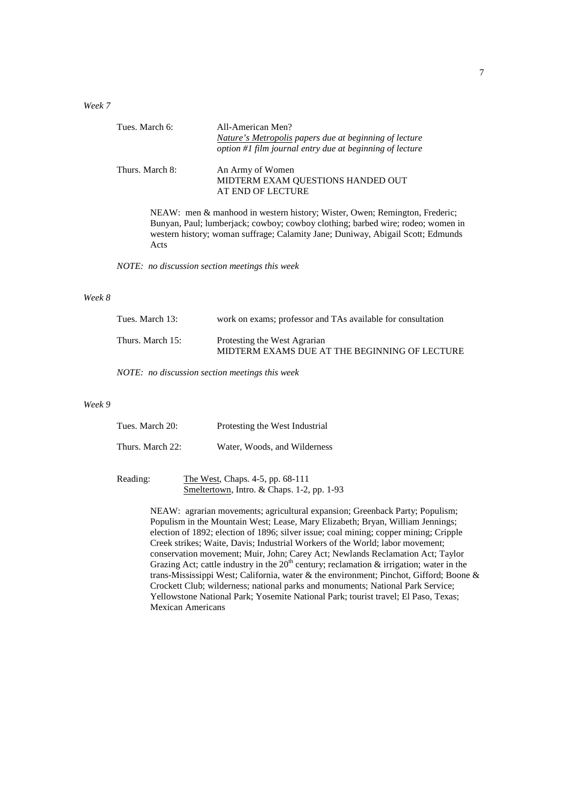*Week 7* 

| Tues. March 6:  | All-American Men?                                                                                                                                                  |
|-----------------|--------------------------------------------------------------------------------------------------------------------------------------------------------------------|
|                 | Nature's Metropolis papers due at beginning of lecture                                                                                                             |
|                 | option #1 film journal entry due at beginning of lecture                                                                                                           |
| Thurs. March 8: | An Army of Women                                                                                                                                                   |
|                 | MIDTERM EXAM QUESTIONS HANDED OUT                                                                                                                                  |
|                 | AT END OF LECTURE                                                                                                                                                  |
|                 | NEAW: men & manhood in western history; Wister, Owen; Remington, Frederic;                                                                                         |
|                 | Bunyan, Paul; lumberjack; cowboy; cowboy clothing; barbed wire; rodeo; women in<br>western history; woman suffrage; Calamity Jane; Duniway, Abigail Scott; Edmunds |
| Acts            |                                                                                                                                                                    |
|                 | NOTE: no discussion section meetings this week                                                                                                                     |
|                 |                                                                                                                                                                    |

## *Week 8*

| Tues. March 13:  | work on exams; professor and TAs available for consultation                   |
|------------------|-------------------------------------------------------------------------------|
| Thurs. March 15: | Protesting the West Agrarian<br>MIDTERM EXAMS DUE AT THE BEGINNING OF LECTURE |

*NOTE: no discussion section meetings this week* 

# *Week 9*

| Tues. March 20:  | Protesting the West Industrial |
|------------------|--------------------------------|
| Thurs. March 22: | Water, Woods, and Wilderness   |

| Reading: | The West, Chaps. 4-5, pp. 68-111           |
|----------|--------------------------------------------|
|          | Smeltertown, Intro. & Chaps. 1-2, pp. 1-93 |

NEAW: agrarian movements; agricultural expansion; Greenback Party; Populism; Populism in the Mountain West; Lease, Mary Elizabeth; Bryan, William Jennings; election of 1892; election of 1896; silver issue; coal mining; copper mining; Cripple Creek strikes; Waite, Davis; Industrial Workers of the World; labor movement; conservation movement; Muir, John; Carey Act; Newlands Reclamation Act; Taylor Grazing Act; cattle industry in the  $20<sup>th</sup>$  century; reclamation & irrigation; water in the trans-Mississippi West; California, water & the environment; Pinchot, Gifford; Boone & Crockett Club; wilderness; national parks and monuments; National Park Service; Yellowstone National Park; Yosemite National Park; tourist travel; El Paso, Texas; Mexican Americans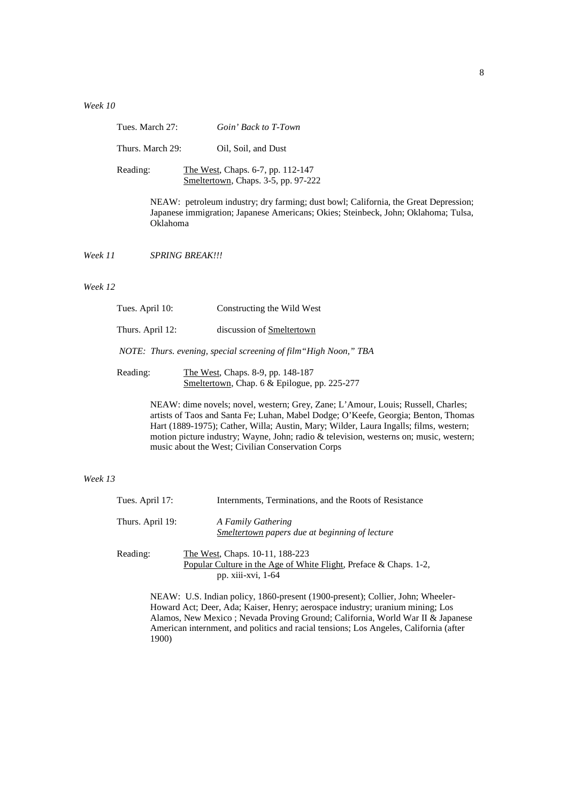*Week 10* 

| Tues. March 27:  | Goin' Back to T-Town                                                     |
|------------------|--------------------------------------------------------------------------|
| Thurs. March 29: | Oil, Soil, and Dust                                                      |
| Reading:         | The West, Chaps. 6-7, pp. 112-147<br>Smeltertown, Chaps. 3-5, pp. 97-222 |

NEAW: petroleum industry; dry farming; dust bowl; California, the Great Depression; Japanese immigration; Japanese Americans; Okies; Steinbeck, John; Oklahoma; Tulsa, Oklahoma

*Week 11 SPRING BREAK!!!* 

## *Week 12*

| Tues. April 10:  | Constructing the Wild West                                       |
|------------------|------------------------------------------------------------------|
| Thurs. April 12: | discussion of Smeltertown                                        |
|                  | NOTE: Thurs. evening, special screening of film "High Noon," TBA |
|                  |                                                                  |

Reading: The West, Chaps. 8-9, pp. 148-187 Smeltertown, Chap. 6 & Epilogue, pp. 225-277

> NEAW: dime novels; novel, western; Grey, Zane; L'Amour, Louis; Russell, Charles; artists of Taos and Santa Fe; Luhan, Mabel Dodge; O'Keefe, Georgia; Benton, Thomas Hart (1889-1975); Cather, Willa; Austin, Mary; Wilder, Laura Ingalls; films, western; motion picture industry; Wayne, John; radio & television, westerns on; music, western; music about the West; Civilian Conservation Corps

# *Week 13*

| Tues. April 17:  | Internments, Terminations, and the Roots of Resistance                                                                     |
|------------------|----------------------------------------------------------------------------------------------------------------------------|
| Thurs. April 19: | A Family Gathering<br>Smeltertown papers due at beginning of lecture                                                       |
| Reading:         | The West, Chaps. 10-11, 188-223<br>Popular Culture in the Age of White Flight, Preface & Chaps. 1-2,<br>pp. xiii-xvi, 1-64 |

NEAW: U.S. Indian policy, 1860-present (1900-present); Collier, John; Wheeler-Howard Act; Deer, Ada; Kaiser, Henry; aerospace industry; uranium mining; Los Alamos, New Mexico ; Nevada Proving Ground; California, World War II & Japanese American internment, and politics and racial tensions; Los Angeles, California (after 1900)